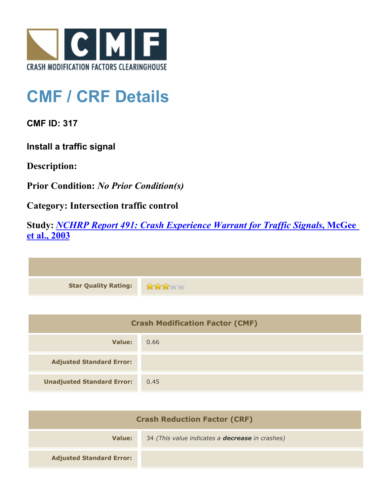

## **CMF / CRF Details**

**CMF ID: 317**

**Install a traffic signal**

**Description:** 

**Prior Condition:** *No Prior Condition(s)*

**Category: Intersection traffic control**

**Study:** *[NCHRP Report 491: Crash Experience Warrant for Traffic Signals](http://www.cmfclearinghouse.org/study_detail.cfm?stid=40)***[, McGee](http://www.cmfclearinghouse.org/study_detail.cfm?stid=40) [et al., 2003](http://www.cmfclearinghouse.org/study_detail.cfm?stid=40)**

| Star Quality Rating: |  |
|----------------------|--|

| <b>Crash Modification Factor (CMF)</b> |      |
|----------------------------------------|------|
| Value:                                 | 0.66 |
| <b>Adjusted Standard Error:</b>        |      |
| <b>Unadjusted Standard Error:</b>      | 0.45 |

| <b>Crash Reduction Factor (CRF)</b> |                                                        |
|-------------------------------------|--------------------------------------------------------|
| Value:                              | 34 (This value indicates a <b>decrease</b> in crashes) |
| <b>Adjusted Standard Error:</b>     |                                                        |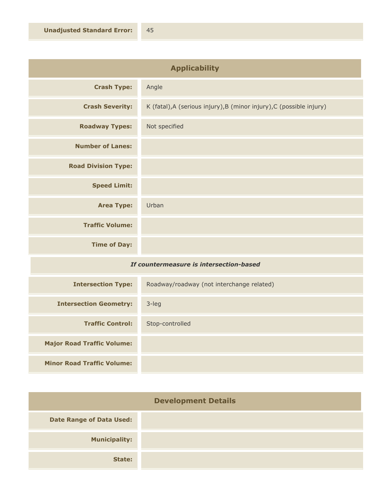| <b>Applicability</b>                    |                                                                      |
|-----------------------------------------|----------------------------------------------------------------------|
| <b>Crash Type:</b>                      | Angle                                                                |
| <b>Crash Severity:</b>                  | K (fatal), A (serious injury), B (minor injury), C (possible injury) |
| <b>Roadway Types:</b>                   | Not specified                                                        |
| <b>Number of Lanes:</b>                 |                                                                      |
| <b>Road Division Type:</b>              |                                                                      |
| <b>Speed Limit:</b>                     |                                                                      |
| <b>Area Type:</b>                       | Urban                                                                |
| <b>Traffic Volume:</b>                  |                                                                      |
| <b>Time of Day:</b>                     |                                                                      |
| If countermeasure is intersection-based |                                                                      |

| <b>Intersection Type:</b>         | Roadway/roadway (not interchange related) |
|-----------------------------------|-------------------------------------------|
| <b>Intersection Geometry:</b>     | $3$ -leg                                  |
| <b>Traffic Control:</b>           | Stop-controlled                           |
| <b>Major Road Traffic Volume:</b> |                                           |
| <b>Minor Road Traffic Volume:</b> |                                           |

| <b>Development Details</b>      |  |
|---------------------------------|--|
| <b>Date Range of Data Used:</b> |  |
| <b>Municipality:</b>            |  |
| State:                          |  |